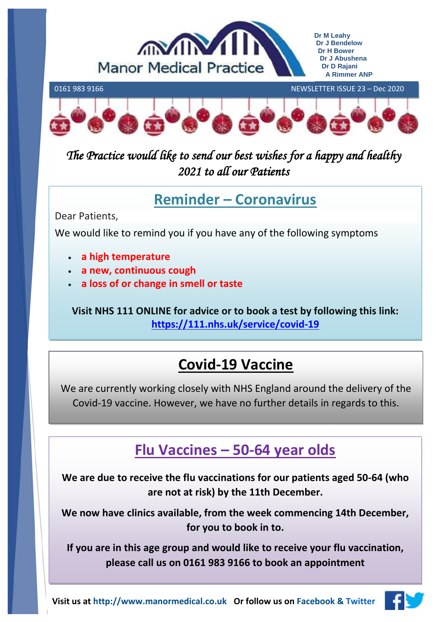



*The Practice would like to send our best wishes for a happy and healthy 2021 to all our Patients* 

## **Reminder – Coronavirus**

Dear Patients,

We would like to remind you if you have any of the following symptoms

- **a high temperature**
- **a new, continuous cough**
- **a loss of or change in smell or taste**

**Visit NHS 111 ONLINE for advice or to book a test by following this link: <https://111.nhs.uk/service/covid-19>**

# **Covid-19 Vaccine**

We are currently working closely with NHS England around the delivery of the Covid-19 vaccine. However, we have no further details in regards to this.

# **Flu Vaccines – 50-64 year olds**

**We are due to receive the flu vaccinations for our patients aged 50-64 (who are not at risk) by the 11th December.** 

**We now have clinics available, from the week commencing 14th December, for you to book in to.** 

**If you are in this age group and would like to receive your flu vaccination, please call us on 0161 983 9166 to book an appointment**

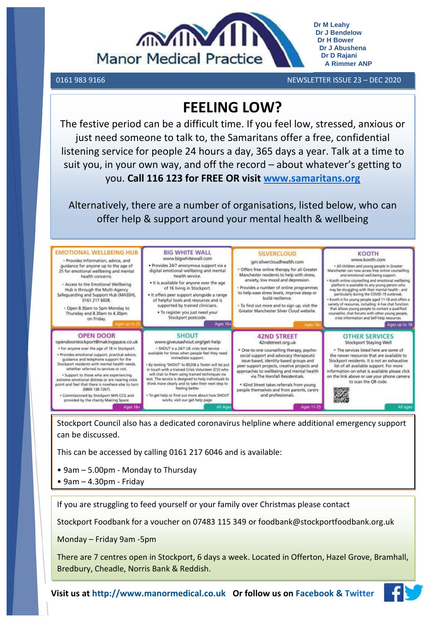

**Dr J Bendelow Dr H Bower Dr J Abushena Dr D Rajani A Rimmer ANP**

**Dr M Leahy**

0161 983 9166 NEWSLETTER ISSUE 23 – DEC 2020

## **FEELING LOW?**

The festive period can be a difficult time. If you feel low, stressed, anxious or just need someone to talk to, the Samaritans offer a free, confidential listening service for people 24 hours a day, 365 days a year. Talk at a time to suit you, in your own way, and off the record – about whatever's getting to you. **Call 116 123 for FREE OR visit [www.samaritans.org](http://www.samaritans.org/)**

Alternatively, there are a number of organisations, listed below, who can offer help & support around your mental health & wellbeing



Stockport Council also has a dedicated coronavirus helpline where additional emergency support can be discussed.

This can be accessed by calling 0161 217 6046 and is available:

- 9am 5.00pm Monday to Thursday
- 9am 4.30pm Friday

If you are struggling to feed yourself or your family over Christmas please contact

Stockport Foodbank for a voucher on 07483 115 349 or foodbank@stockportfoodbank.org.uk

Monday – Friday 9am -5pm

There are 7 centres open in Stockport, 6 days a week. Located in Offerton, Hazel Grove, Bramhall, Bredbury, Cheadle, Norris Bank & Reddish.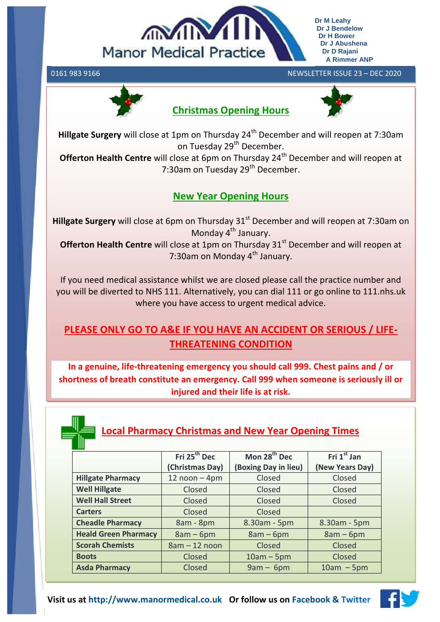

#### 0161 983 9166 NEWSLETTER ISSUE 23 – DEC 2020



### **Christmas Opening Hours**



**Hillgate Surgery** will close at 1pm on Thursday 24<sup>th</sup> December and will reopen at 7:30am on Tuesday 29<sup>th</sup> December.

**Offerton Health Centre** will close at 6pm on Thursday 24<sup>th</sup> December and will reopen at 7:30am on Tuesday 29<sup>th</sup> December.

### **New Year Opening Hours**

**Hillgate Surgery** will close at 6pm on Thursday 31<sup>st</sup> December and will reopen at 7:30am on Monday  $4^{th}$  January.

**Offerton Health Centre** will close at 1pm on Thursday 31<sup>st</sup> December and will reopen at 7:30am on Monday 4<sup>th</sup> January.

If you need medical assistance whilst we are closed please call the practice number and you will be diverted to NHS 111. Alternatively, you can dial 111 or go online to 111.nhs.uk where you have access to urgent medical advice.

## **PLEASE ONLY GO TO A&E IF YOU HAVE AN ACCIDENT OR SERIOUS / LIFE-THREATENING CONDITION**

**In a genuine, life-threatening emergency you should call 999. Chest pains and / or shortness of breath constitute an emergency. Call 999 when someone is seriously ill or injured and their life is at risk.**



## **Local Pharmacy Christmas and New Year Opening Times**

|                             | Fri 25 <sup>th</sup> Dec | Mon 28 <sup>th</sup> Dec   | Fri $1st$ Jan   |
|-----------------------------|--------------------------|----------------------------|-----------------|
|                             | (Christmas Day)          | <b>Boxing Day in lieu)</b> | (New Years Day) |
| <b>Hillgate Pharmacy</b>    | $12$ noon $-$ 4pm        | Closed                     | Closed          |
| <b>Well Hillgate</b>        | Closed                   | Closed                     | Closed          |
| <b>Well Hall Street</b>     | Closed                   | Closed                     | Closed          |
| <b>Carters</b>              | Closed                   | Closed                     |                 |
| <b>Cheadle Pharmacy</b>     | 8am - 8pm                | 8.30am - 5pm               | 8.30am - 5pm    |
| <b>Heald Green Pharmacy</b> | $8am - 6pm$              | $8am - 6pm$                | $8am - 6pm$     |
| <b>Scorah Chemists</b>      | $8am - 12 noon$          | Closed                     | Closed          |
| <b>Boots</b>                | Closed                   | $10am - 5pm$               | Closed          |
| <b>Asda Pharmacy</b>        | Closed                   | $9am - 6pm$                | $10am - 5pm$    |